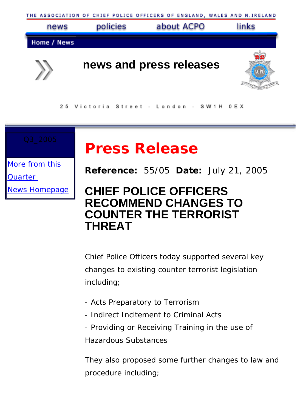



25 Victoria Street - London - SW1H OEX

# **Press Release**

[More from this](http://www.acpo.police.uk/asp/news/index.asp?PR_Date=21/07/2005) 

[Quarter](http://www.acpo.police.uk/asp/news/index.asp?PR_Date=21/07/2005)

[News Homepage](http://www.acpo.police.uk/asp/news/index.asp)

## **Reference:** 55/05 **Date:** July 21, 2005

# **CHIEF POLICE OFFICERS RECOMMEND CHANGES TO COUNTER THE TERRORIST THREAT**

Chief Police Officers today supported several key changes to existing counter terrorist legislation including;

- Acts Preparatory to Terrorism
- Indirect Incitement to Criminal Acts
- Providing or Receiving Training in the use of

Hazardous Substances

They also proposed some further changes to law and procedure including;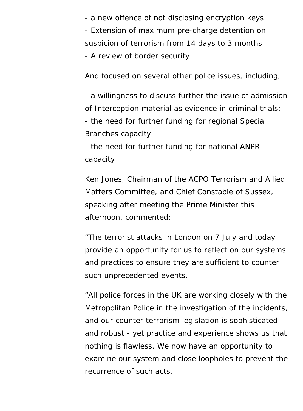- a new offence of not disclosing encryption keys - Extension of maximum pre-charge detention on suspicion of terrorism from 14 days to 3 months - A review of border security

And focused on several other police issues, including;

- a willingness to discuss further the issue of admission of Interception material as evidence in criminal trials; - the need for further funding for regional Special Branches capacity

- the need for further funding for national ANPR capacity

Ken Jones, Chairman of the ACPO Terrorism and Allied Matters Committee, and Chief Constable of Sussex, speaking after meeting the Prime Minister this afternoon, commented;

"The terrorist attacks in London on 7 July and today provide an opportunity for us to reflect on our systems and practices to ensure they are sufficient to counter such unprecedented events.

"All police forces in the UK are working closely with the Metropolitan Police in the investigation of the incidents, and our counter terrorism legislation is sophisticated and robust - yet practice and experience shows us that nothing is flawless. We now have an opportunity to examine our system and close loopholes to prevent the recurrence of such acts.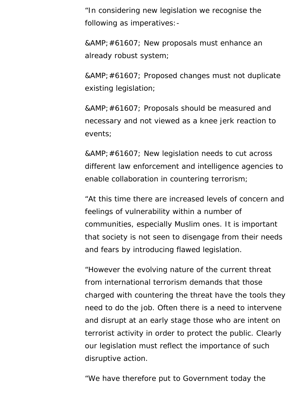"In considering new legislation we recognise the following as imperatives:-

& #61607; New proposals must enhance an already robust system;

& #61607; Proposed changes must not duplicate existing legislation;

 Proposals should be measured and necessary and not viewed as a knee jerk reaction to events;

& #61607; New legislation needs to cut across different law enforcement and intelligence agencies to enable collaboration in countering terrorism;

"At this time there are increased levels of concern and feelings of vulnerability within a number of communities, especially Muslim ones. It is important that society is not seen to disengage from their needs and fears by introducing flawed legislation.

"However the evolving nature of the current threat from international terrorism demands that those charged with countering the threat have the tools they need to do the job. Often there is a need to intervene and disrupt at an early stage those who are intent on terrorist activity in order to protect the public. Clearly our legislation must reflect the importance of such disruptive action.

"We have therefore put to Government today the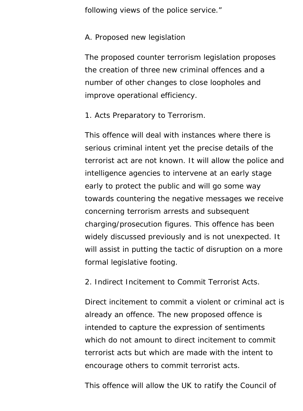following views of the police service."

#### A. Proposed new legislation

The proposed counter terrorism legislation proposes the creation of three new criminal offences and a number of other changes to close loopholes and improve operational efficiency.

1. Acts Preparatory to Terrorism.

This offence will deal with instances where there is serious criminal intent yet the precise details of the terrorist act are not known. It will allow the police and intelligence agencies to intervene at an early stage early to protect the public and will go some way towards countering the negative messages we receive concerning terrorism arrests and subsequent charging/prosecution figures. This offence has been widely discussed previously and is not unexpected. It will assist in putting the tactic of disruption on a more formal legislative footing.

2. Indirect Incitement to Commit Terrorist Acts.

Direct incitement to commit a violent or criminal act is already an offence. The new proposed offence is intended to capture the expression of sentiments which do not amount to direct incitement to commit terrorist acts but which are made with the intent to encourage others to commit terrorist acts.

This offence will allow the UK to ratify the Council of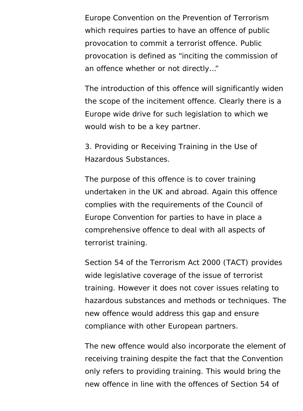Europe Convention on the Prevention of Terrorism which requires parties to have an offence of public provocation to commit a terrorist offence. Public provocation is defined as "inciting the commission of an offence whether or not directly…"

The introduction of this offence will significantly widen the scope of the incitement offence. Clearly there is a Europe wide drive for such legislation to which we would wish to be a key partner.

3. Providing or Receiving Training in the Use of Hazardous Substances.

The purpose of this offence is to cover training undertaken in the UK and abroad. Again this offence complies with the requirements of the Council of Europe Convention for parties to have in place a comprehensive offence to deal with all aspects of terrorist training.

Section 54 of the Terrorism Act 2000 (TACT) provides wide legislative coverage of the issue of terrorist training. However it does not cover issues relating to hazardous substances and methods or techniques. The new offence would address this gap and ensure compliance with other European partners.

The new offence would also incorporate the element of receiving training despite the fact that the Convention only refers to providing training. This would bring the new offence in line with the offences of Section 54 of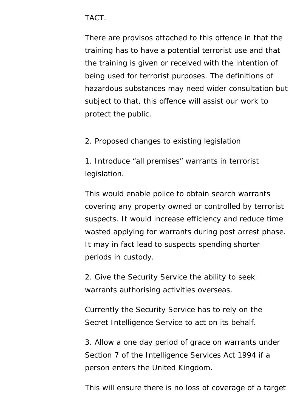#### TACT.

There are provisos attached to this offence in that the training has to have a potential terrorist use and that the training is given or received with the intention of being used for terrorist purposes. The definitions of hazardous substances may need wider consultation but subject to that, this offence will assist our work to protect the public.

2. Proposed changes to existing legislation

1. Introduce "all premises" warrants in terrorist legislation.

This would enable police to obtain search warrants covering any property owned or controlled by terrorist suspects. It would increase efficiency and reduce time wasted applying for warrants during post arrest phase. It may in fact lead to suspects spending shorter periods in custody.

2. Give the Security Service the ability to seek warrants authorising activities overseas.

Currently the Security Service has to rely on the Secret Intelligence Service to act on its behalf.

3. Allow a one day period of grace on warrants under Section 7 of the Intelligence Services Act 1994 if a person enters the United Kingdom.

This will ensure there is no loss of coverage of a target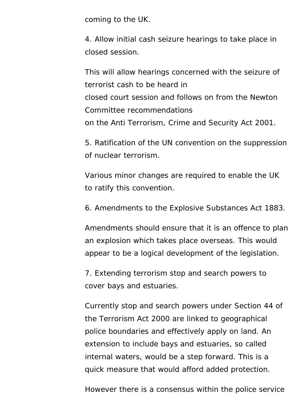coming to the UK.

4. Allow initial cash seizure hearings to take place in closed session.

This will allow hearings concerned with the seizure of terrorist cash to be heard in closed court session and follows on from the Newton Committee recommendations on the Anti Terrorism, Crime and Security Act 2001.

5. Ratification of the UN convention on the suppression of nuclear terrorism.

Various minor changes are required to enable the UK to ratify this convention.

6. Amendments to the Explosive Substances Act 1883.

Amendments should ensure that it is an offence to plan an explosion which takes place overseas. This would appear to be a logical development of the legislation.

7. Extending terrorism stop and search powers to cover bays and estuaries.

Currently stop and search powers under Section 44 of the Terrorism Act 2000 are linked to geographical police boundaries and effectively apply on land. An extension to include bays and estuaries, so called internal waters, would be a step forward. This is a quick measure that would afford added protection.

However there is a consensus within the police service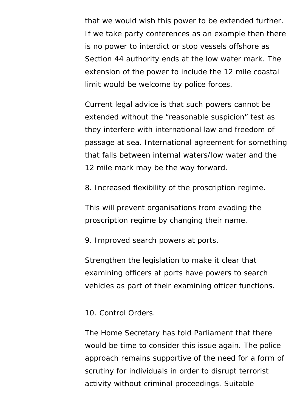that we would wish this power to be extended further. If we take party conferences as an example then there is no power to interdict or stop vessels offshore as Section 44 authority ends at the low water mark. The extension of the power to include the 12 mile coastal limit would be welcome by police forces.

Current legal advice is that such powers cannot be extended without the "reasonable suspicion" test as they interfere with international law and freedom of passage at sea. International agreement for something that falls between internal waters/low water and the 12 mile mark may be the way forward.

8. Increased flexibility of the proscription regime.

This will prevent organisations from evading the proscription regime by changing their name.

9. Improved search powers at ports.

Strengthen the legislation to make it clear that examining officers at ports have powers to search vehicles as part of their examining officer functions.

10. Control Orders.

The Home Secretary has told Parliament that there would be time to consider this issue again. The police approach remains supportive of the need for a form of scrutiny for individuals in order to disrupt terrorist activity without criminal proceedings. Suitable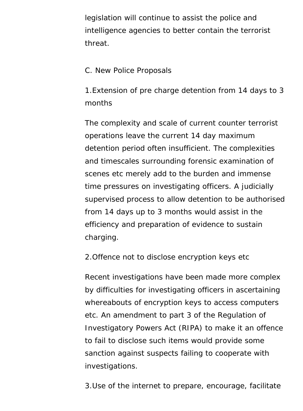legislation will continue to assist the police and intelligence agencies to better contain the terrorist threat.

#### C. New Police Proposals

1.Extension of pre charge detention from 14 days to 3 months

The complexity and scale of current counter terrorist operations leave the current 14 day maximum detention period often insufficient. The complexities and timescales surrounding forensic examination of scenes etc merely add to the burden and immense time pressures on investigating officers. A judicially supervised process to allow detention to be authorised from 14 days up to 3 months would assist in the efficiency and preparation of evidence to sustain charging.

2.Offence not to disclose encryption keys etc

Recent investigations have been made more complex by difficulties for investigating officers in ascertaining whereabouts of encryption keys to access computers etc. An amendment to part 3 of the Regulation of Investigatory Powers Act (RIPA) to make it an offence to fail to disclose such items would provide some sanction against suspects failing to cooperate with investigations.

3.Use of the internet to prepare, encourage, facilitate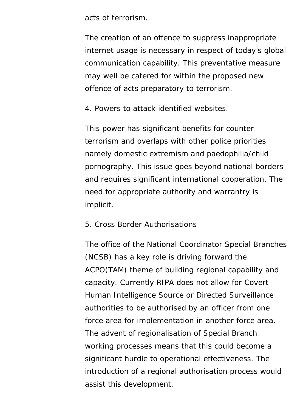acts of terrorism.

The creation of an offence to suppress inappropriate internet usage is necessary in respect of today's global communication capability. This preventative measure may well be catered for within the proposed new offence of acts preparatory to terrorism.

4. Powers to attack identified websites.

This power has significant benefits for counter terrorism and overlaps with other police priorities namely domestic extremism and paedophilia/child pornography. This issue goes beyond national borders and requires significant international cooperation. The need for appropriate authority and warrantry is implicit.

#### 5. Cross Border Authorisations

The office of the National Coordinator Special Branches (NCSB) has a key role is driving forward the ACPO(TAM) theme of building regional capability and capacity. Currently RIPA does not allow for Covert Human Intelligence Source or Directed Surveillance authorities to be authorised by an officer from one force area for implementation in another force area. The advent of regionalisation of Special Branch working processes means that this could become a significant hurdle to operational effectiveness. The introduction of a regional authorisation process would assist this development.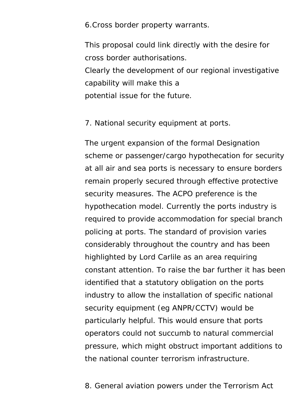6.Cross border property warrants.

This proposal could link directly with the desire for cross border authorisations.

Clearly the development of our regional investigative capability will make this a potential issue for the future.

7. National security equipment at ports.

The urgent expansion of the formal Designation scheme or passenger/cargo hypothecation for security at all air and sea ports is necessary to ensure borders remain properly secured through effective protective security measures. The ACPO preference is the hypothecation model. Currently the ports industry is required to provide accommodation for special branch policing at ports. The standard of provision varies considerably throughout the country and has been highlighted by Lord Carlile as an area requiring constant attention. To raise the bar further it has been identified that a statutory obligation on the ports industry to allow the installation of specific national security equipment (eg ANPR/CCTV) would be particularly helpful. This would ensure that ports operators could not succumb to natural commercial pressure, which might obstruct important additions to the national counter terrorism infrastructure.

8. General aviation powers under the Terrorism Act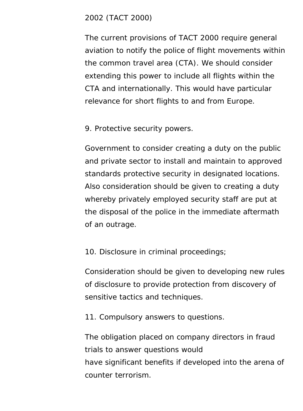#### 2002 (TACT 2000)

The current provisions of TACT 2000 require general aviation to notify the police of flight movements within the common travel area (CTA). We should consider extending this power to include all flights within the CTA and internationally. This would have particular relevance for short flights to and from Europe.

9. Protective security powers.

Government to consider creating a duty on the public and private sector to install and maintain to approved standards protective security in designated locations. Also consideration should be given to creating a duty whereby privately employed security staff are put at the disposal of the police in the immediate aftermath of an outrage.

10. Disclosure in criminal proceedings;

Consideration should be given to developing new rules of disclosure to provide protection from discovery of sensitive tactics and techniques.

11. Compulsory answers to questions.

The obligation placed on company directors in fraud trials to answer questions would have significant benefits if developed into the arena of counter terrorism.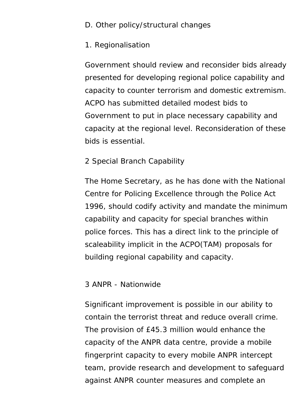#### D. Other policy/structural changes

#### 1. Regionalisation

Government should review and reconsider bids already presented for developing regional police capability and capacity to counter terrorism and domestic extremism. ACPO has submitted detailed modest bids to Government to put in place necessary capability and capacity at the regional level. Reconsideration of these bids is essential.

#### 2 Special Branch Capability

The Home Secretary, as he has done with the National Centre for Policing Excellence through the Police Act 1996, should codify activity and mandate the minimum capability and capacity for special branches within police forces. This has a direct link to the principle of scaleability implicit in the ACPO(TAM) proposals for building regional capability and capacity.

#### 3 ANPR - Nationwide

Significant improvement is possible in our ability to contain the terrorist threat and reduce overall crime. The provision of £45.3 million would enhance the capacity of the ANPR data centre, provide a mobile fingerprint capacity to every mobile ANPR intercept team, provide research and development to safeguard against ANPR counter measures and complete an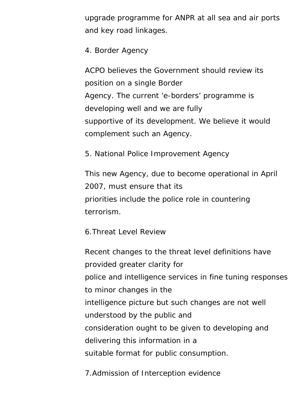upgrade programme for ANPR at all sea and air ports and key road linkages.

4. Border Agency

ACPO believes the Government should review its position on a single Border Agency. The current 'e-borders' programme is developing well and we are fully supportive of its development. We believe it would complement such an Agency.

5. National Police Improvement Agency

This new Agency, due to become operational in April 2007, must ensure that its priorities include the police role in countering terrorism.

6.Threat Level Review

Recent changes to the threat level definitions have provided greater clarity for police and intelligence services in fine tuning responses to minor changes in the intelligence picture but such changes are not well understood by the public and consideration ought to be given to developing and delivering this information in a suitable format for public consumption.

7.Admission of Interception evidence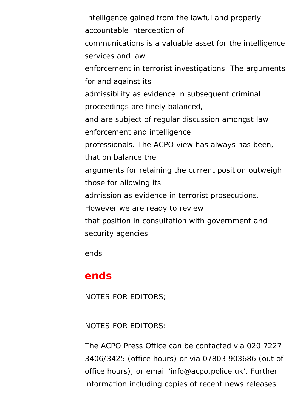Intelligence gained from the lawful and properly accountable interception of communications is a valuable asset for the intelligence services and law enforcement in terrorist investigations. The arguments for and against its admissibility as evidence in subsequent criminal proceedings are finely balanced, and are subject of regular discussion amongst law enforcement and intelligence professionals. The ACPO view has always has been, that on balance the arguments for retaining the current position outweigh those for allowing its admission as evidence in terrorist prosecutions. However we are ready to review that position in consultation with government and security agencies

ends

### **ends**

NOTES FOR EDITORS;

NOTES FOR EDITORS:

The ACPO Press Office can be contacted via 020 7227 3406/3425 (office hours) or via 07803 903686 (out of office hours), or email 'info@acpo.police.uk'. Further information including copies of recent news releases